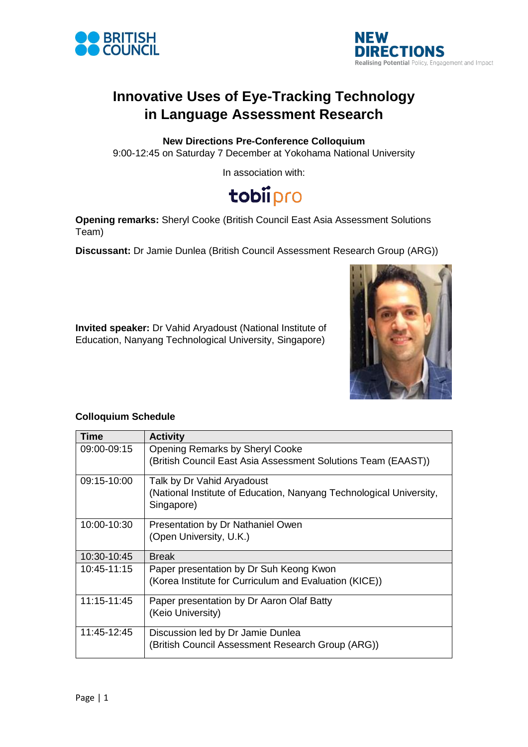



## **Innovative Uses of Eye-Tracking Technology in Language Assessment Research**

#### **New Directions Pre-Conference Colloquium**

9:00-12:45 on Saturday 7 December at Yokohama National University

In association with:

# tobiipro

**Opening remarks:** Sheryl Cooke (British Council East Asia Assessment Solutions Team)

**Discussant:** Dr Jamie Dunlea (British Council Assessment Research Group (ARG))

**Invited speaker:** Dr Vahid Aryadoust (National Institute of Education, Nanyang Technological University, Singapore)



#### **Colloquium Schedule**

| Time        | <b>Activity</b>                                                                   |
|-------------|-----------------------------------------------------------------------------------|
| 09:00-09:15 | <b>Opening Remarks by Sheryl Cooke</b>                                            |
|             | (British Council East Asia Assessment Solutions Team (EAAST))                     |
| 09:15-10:00 | Talk by Dr Vahid Aryadoust                                                        |
|             | (National Institute of Education, Nanyang Technological University,<br>Singapore) |
| 10:00-10:30 | Presentation by Dr Nathaniel Owen                                                 |
|             | (Open University, U.K.)                                                           |
| 10:30-10:45 | <b>Break</b>                                                                      |
| 10:45-11:15 | Paper presentation by Dr Suh Keong Kwon                                           |
|             | (Korea Institute for Curriculum and Evaluation (KICE))                            |
| 11:15-11:45 | Paper presentation by Dr Aaron Olaf Batty                                         |
|             | (Keio University)                                                                 |
| 11:45-12:45 | Discussion led by Dr Jamie Dunlea                                                 |
|             | (British Council Assessment Research Group (ARG))                                 |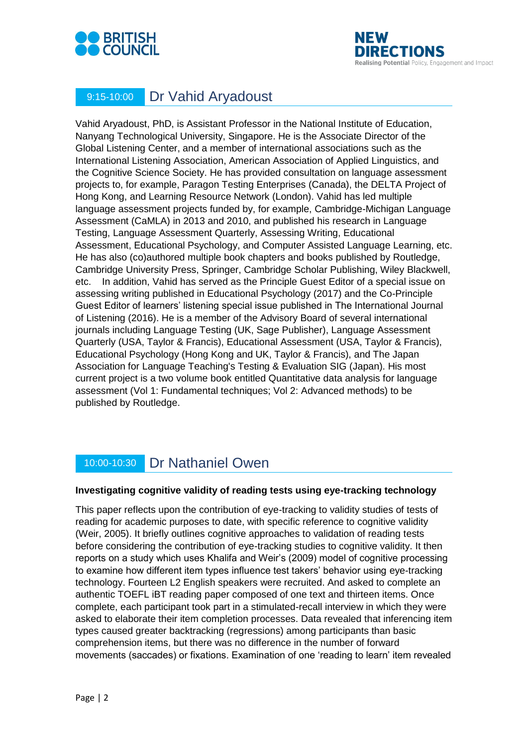



### 9:15-10:00 Dr Vahid Aryadoust

Vahid Aryadoust, PhD, is Assistant Professor in the National Institute of Education, Nanyang Technological University, Singapore. He is the Associate Director of the Global Listening Center, and a member of international associations such as the International Listening Association, American Association of Applied Linguistics, and the Cognitive Science Society. He has provided consultation on language assessment projects to, for example, Paragon Testing Enterprises (Canada), the DELTA Project of Hong Kong, and Learning Resource Network (London). Vahid has led multiple language assessment projects funded by, for example, Cambridge-Michigan Language Assessment (CaMLA) in 2013 and 2010, and published his research in Language Testing, Language Assessment Quarterly, Assessing Writing, Educational Assessment, Educational Psychology, and Computer Assisted Language Learning, etc. He has also (co)authored multiple book chapters and books published by Routledge, Cambridge University Press, Springer, Cambridge Scholar Publishing, Wiley Blackwell, etc. In addition, Vahid has served as the Principle Guest Editor of a special issue on assessing writing published in Educational Psychology (2017) and the Co-Principle Guest Editor of learners' listening special issue published in The International Journal of Listening (2016). He is a member of the Advisory Board of several international journals including Language Testing (UK, Sage Publisher), Language Assessment Quarterly (USA, Taylor & Francis), Educational Assessment (USA, Taylor & Francis), Educational Psychology (Hong Kong and UK, Taylor & Francis), and The Japan Association for Language Teaching's Testing & Evaluation SIG (Japan). His most current project is a two volume book entitled Quantitative data analysis for language assessment (Vol 1: Fundamental techniques; Vol 2: Advanced methods) to be published by Routledge.

### 10:00-10:30 Dr Nathaniel Owen

#### **Investigating cognitive validity of reading tests using eye-tracking technology**

This paper reflects upon the contribution of eye-tracking to validity studies of tests of reading for academic purposes to date, with specific reference to cognitive validity (Weir, 2005). It briefly outlines cognitive approaches to validation of reading tests before considering the contribution of eye-tracking studies to cognitive validity. It then reports on a study which uses Khalifa and Weir's (2009) model of cognitive processing to examine how different item types influence test takers' behavior using eye-tracking technology. Fourteen L2 English speakers were recruited. And asked to complete an authentic TOEFL iBT reading paper composed of one text and thirteen items. Once complete, each participant took part in a stimulated-recall interview in which they were asked to elaborate their item completion processes. Data revealed that inferencing item types caused greater backtracking (regressions) among participants than basic comprehension items, but there was no difference in the number of forward movements (saccades) or fixations. Examination of one 'reading to learn' item revealed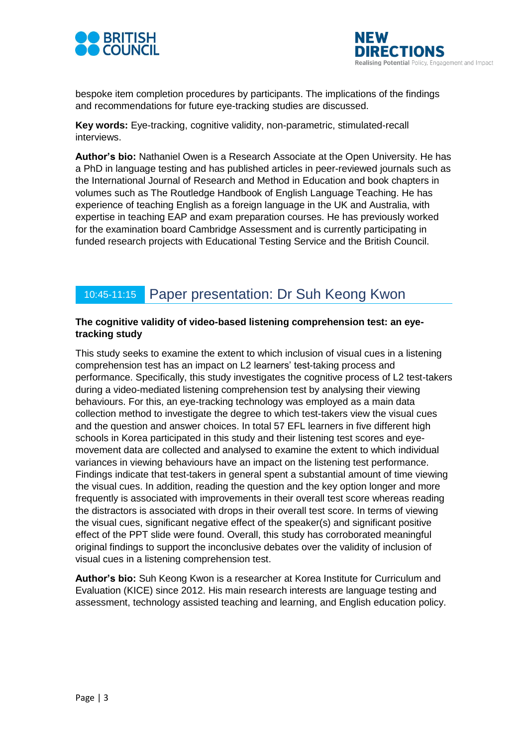



bespoke item completion procedures by participants. The implications of the findings and recommendations for future eye-tracking studies are discussed.

**Key words:** Eye-tracking, cognitive validity, non-parametric, stimulated-recall interviews.

**Author's bio:** Nathaniel Owen is a Research Associate at the Open University. He has a PhD in language testing and has published articles in peer-reviewed journals such as the International Journal of Research and Method in Education and book chapters in volumes such as The Routledge Handbook of English Language Teaching. He has experience of teaching English as a foreign language in the UK and Australia, with expertise in teaching EAP and exam preparation courses. He has previously worked for the examination board Cambridge Assessment and is currently participating in funded research projects with Educational Testing Service and the British Council.

### 10:45-11:15 Paper presentation: Dr Suh Keong Kwon

#### **The cognitive validity of video-based listening comprehension test: an eyetracking study**

This study seeks to examine the extent to which inclusion of visual cues in a listening comprehension test has an impact on L2 learners' test-taking process and performance. Specifically, this study investigates the cognitive process of L2 test-takers during a video-mediated listening comprehension test by analysing their viewing behaviours. For this, an eye-tracking technology was employed as a main data collection method to investigate the degree to which test-takers view the visual cues and the question and answer choices. In total 57 EFL learners in five different high schools in Korea participated in this study and their listening test scores and eyemovement data are collected and analysed to examine the extent to which individual variances in viewing behaviours have an impact on the listening test performance. Findings indicate that test-takers in general spent a substantial amount of time viewing the visual cues. In addition, reading the question and the key option longer and more frequently is associated with improvements in their overall test score whereas reading the distractors is associated with drops in their overall test score. In terms of viewing the visual cues, significant negative effect of the speaker(s) and significant positive effect of the PPT slide were found. Overall, this study has corroborated meaningful original findings to support the inconclusive debates over the validity of inclusion of visual cues in a listening comprehension test.

**Author's bio:** Suh Keong Kwon is a researcher at Korea Institute for Curriculum and Evaluation (KICE) since 2012. His main research interests are language testing and assessment, technology assisted teaching and learning, and English education policy.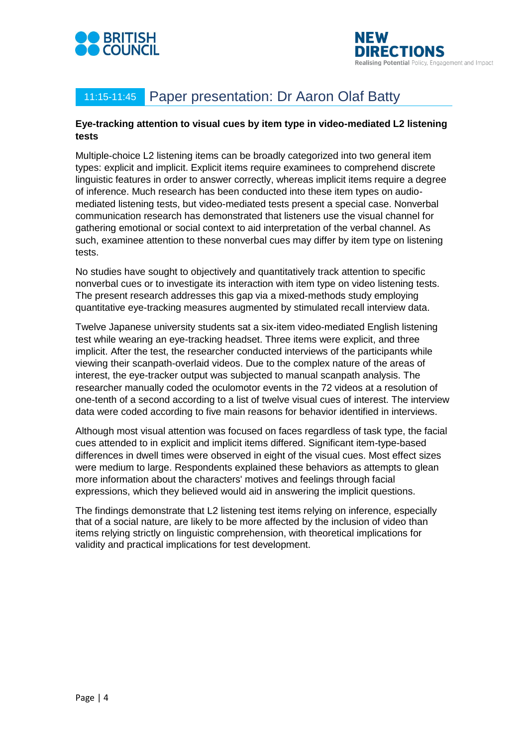



## 11:15-11:45 Paper presentation: Dr Aaron Olaf Batty

#### **Eye-tracking attention to visual cues by item type in video-mediated L2 listening tests**

Multiple-choice L2 listening items can be broadly categorized into two general item types: explicit and implicit. Explicit items require examinees to comprehend discrete linguistic features in order to answer correctly, whereas implicit items require a degree of inference. Much research has been conducted into these item types on audiomediated listening tests, but video-mediated tests present a special case. Nonverbal communication research has demonstrated that listeners use the visual channel for gathering emotional or social context to aid interpretation of the verbal channel. As such, examinee attention to these nonverbal cues may differ by item type on listening tests.

No studies have sought to objectively and quantitatively track attention to specific nonverbal cues or to investigate its interaction with item type on video listening tests. The present research addresses this gap via a mixed-methods study employing quantitative eye-tracking measures augmented by stimulated recall interview data.

Twelve Japanese university students sat a six-item video-mediated English listening test while wearing an eye-tracking headset. Three items were explicit, and three implicit. After the test, the researcher conducted interviews of the participants while viewing their scanpath-overlaid videos. Due to the complex nature of the areas of interest, the eye-tracker output was subjected to manual scanpath analysis. The researcher manually coded the oculomotor events in the 72 videos at a resolution of one-tenth of a second according to a list of twelve visual cues of interest. The interview data were coded according to five main reasons for behavior identified in interviews.

Although most visual attention was focused on faces regardless of task type, the facial cues attended to in explicit and implicit items differed. Significant item-type-based differences in dwell times were observed in eight of the visual cues. Most effect sizes were medium to large. Respondents explained these behaviors as attempts to glean more information about the characters' motives and feelings through facial expressions, which they believed would aid in answering the implicit questions.

The findings demonstrate that L2 listening test items relying on inference, especially that of a social nature, are likely to be more affected by the inclusion of video than items relying strictly on linguistic comprehension, with theoretical implications for validity and practical implications for test development.